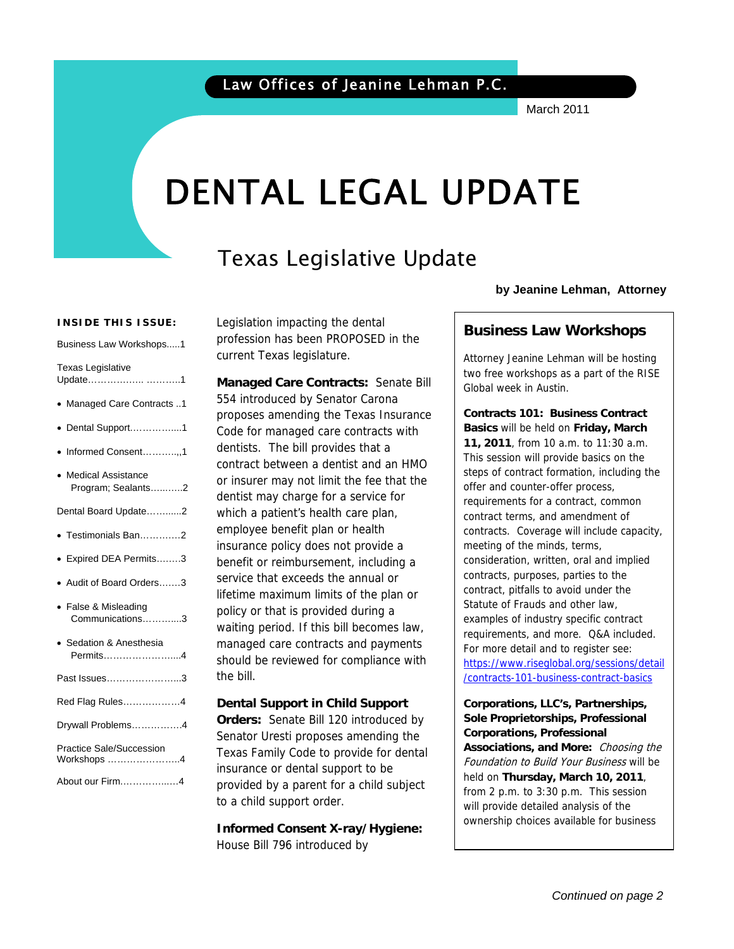March 2011

# DENTAL LEGAL UPDATE

# Texas Legislative Update

#### **INSIDE THIS ISSUE:**

Business Law Workshops.....1

| <b>Texas Legislative</b>                   |
|--------------------------------------------|
| Update 1                                   |
| · Managed Care Contracts 1                 |
| Dental Support1<br>$\bullet$               |
| • Informed Consent,1                       |
| • Medical Assistance<br>Program; Sealants2 |
| Dental Board Update2                       |
| · Testimonials Ban2                        |
| · Expired DEA Permits3                     |
| • Audit of Board Orders3                   |
| • False & Misleading<br>Communications3    |
| · Sedation & Anesthesia<br>Permits4        |
| Past Issues3                               |
| Red Flag Rules4                            |
| Drywall Problems4                          |
| Practice Sale/Succession<br>Workshops 4    |
| About our Firm4                            |

Legislation impacting the dental profession has been PROPOSED in the current Texas legislature.

**Managed Care Contracts:** Senate Bill 554 introduced by Senator Carona proposes amending the Texas Insurance Code for managed care contracts with dentists. The bill provides that a contract between a dentist and an HMO or insurer may not limit the fee that the dentist may charge for a service for which a patient's health care plan, employee benefit plan or health insurance policy does not provide a benefit or reimbursement, including a service that exceeds the annual or lifetime maximum limits of the plan or policy or that is provided during a waiting period. If this bill becomes law, managed care contracts and payments should be reviewed for compliance with the bill.

**Dental Support in Child Support Orders:** Senate Bill 120 introduced by Senator Uresti proposes amending the Texas Family Code to provide for dental insurance or dental support to be provided by a parent for a child subject to a child support order.

**Informed Consent X-ray/Hygiene:**  House Bill 796 introduced by

**by Jeanine Lehman, Attorney**

#### **Business Law Workshops**

Attorney Jeanine Lehman will be hosting two free workshops as a part of the RISE Global week in Austin.

**Contracts 101: Business Contract Basics** will be held on **Friday, March 11, 2011**, from 10 a.m. to 11:30 a.m. This session will provide basics on the steps of contract formation, including the offer and counter-offer process, requirements for a contract, common contract terms, and amendment of contracts. Coverage will include capacity, meeting of the minds, terms, consideration, written, oral and implied contracts, purposes, parties to the contract, pitfalls to avoid under the Statute of Frauds and other law, examples of industry specific contract requirements, and more. Q&A included. For more detail and to register see: https://www.riseglobal.org/sessions/detail /contracts-101-business-contract-basics

**Corporations, LLC's, Partnerships, Sole Proprietorships, Professional Corporations, Professional Associations, and More:** Choosing the Foundation to Build Your Business will be held on **Thursday, March 10, 2011**, from 2 p.m. to 3:30 p.m. This session will provide detailed analysis of the ownership choices available for business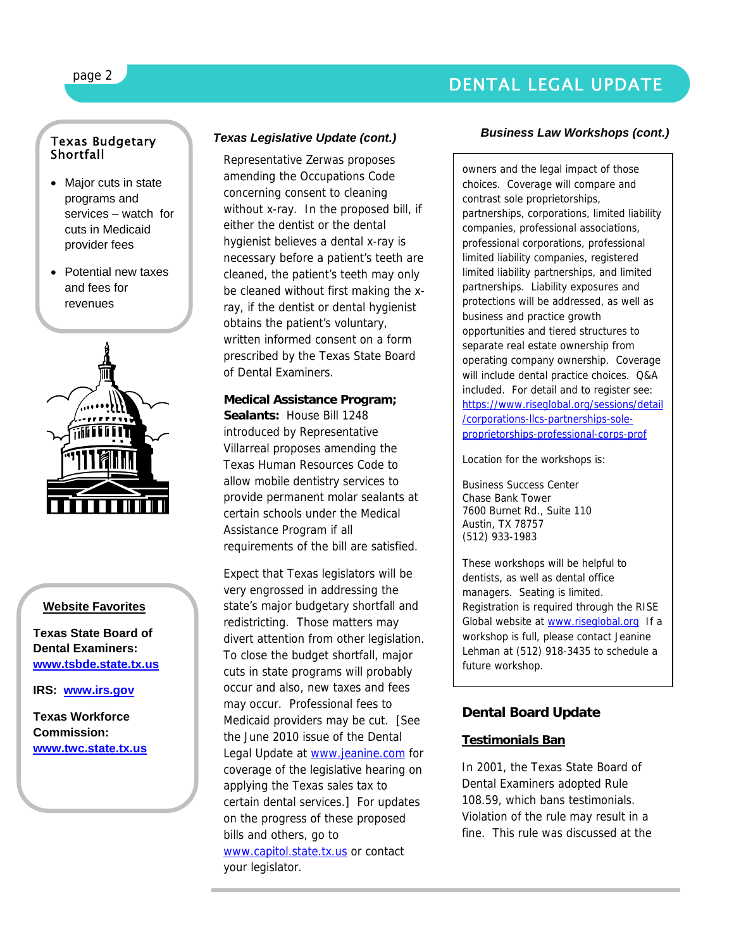### DENTAL LEGAL UPDATE

#### Texas Budgetary **Shortfall**

- Major cuts in state programs and services – watch for cuts in Medicaid provider fees
- Potential new taxes and fees for revenues



#### **Website Favorites**

**Texas State Board of Dental Examiners: www.tsbde.state.tx.us**

**IRS: www.irs.gov**

**Texas Workforce Commission: www.twc.state.tx.us**

#### *Texas Legislative Update (cont.)*

Representative Zerwas proposes amending the Occupations Code concerning consent to cleaning without x-ray. In the proposed bill, if either the dentist or the dental hygienist believes a dental x-ray is necessary before a patient's teeth are cleaned, the patient's teeth may only be cleaned without first making the xray, if the dentist or dental hygienist obtains the patient's voluntary, written informed consent on a form prescribed by the Texas State Board of Dental Examiners.

**Medical Assistance Program; Sealants:** House Bill 1248 introduced by Representative Villarreal proposes amending the Texas Human Resources Code to allow mobile dentistry services to provide permanent molar sealants at certain schools under the Medical Assistance Program if all requirements of the bill are satisfied.

Expect that Texas legislators will be very engrossed in addressing the state's major budgetary shortfall and redistricting. Those matters may divert attention from other legislation. To close the budget shortfall, major cuts in state programs will probably occur and also, new taxes and fees may occur. Professional fees to Medicaid providers may be cut. [See the June 2010 issue of the Dental Legal Update at www.jeanine.com for coverage of the legislative hearing on applying the Texas sales tax to certain dental services.] For updates on the progress of these proposed bills and others, go to www.capitol.state.tx.us or contact your legislator.

#### *Business Law Workshops (cont.)*

owners and the legal impact of those choices. Coverage will compare and contrast sole proprietorships, partnerships, corporations, limited liability companies, professional associations, professional corporations, professional limited liability companies, registered limited liability partnerships, and limited partnerships. Liability exposures and protections will be addressed, as well as business and practice growth opportunities and tiered structures to separate real estate ownership from operating company ownership. Coverage will include dental practice choices. Q&A included. For detail and to register see: https://www.riseglobal.org/sessions/detail /corporations-llcs-partnerships-soleproprietorships-professional-corps-prof

Location for the workshops is:

Business Success Center Chase Bank Tower 7600 Burnet Rd., Suite 110 Austin, TX 78757 (512) 933-1983

These workshops will be helpful to dentists, as well as dental office managers. Seating is limited. Registration is required through the RISE Global website at www.riseglobal.org If a workshop is full, please contact Jeanine Lehman at (512) 918-3435 to schedule a future workshop.

### **Dental Board Update**

### **Testimonials Ban**

In 2001, the Texas State Board of Dental Examiners adopted Rule 108.59, which bans testimonials. Violation of the rule may result in a fine. This rule was discussed at the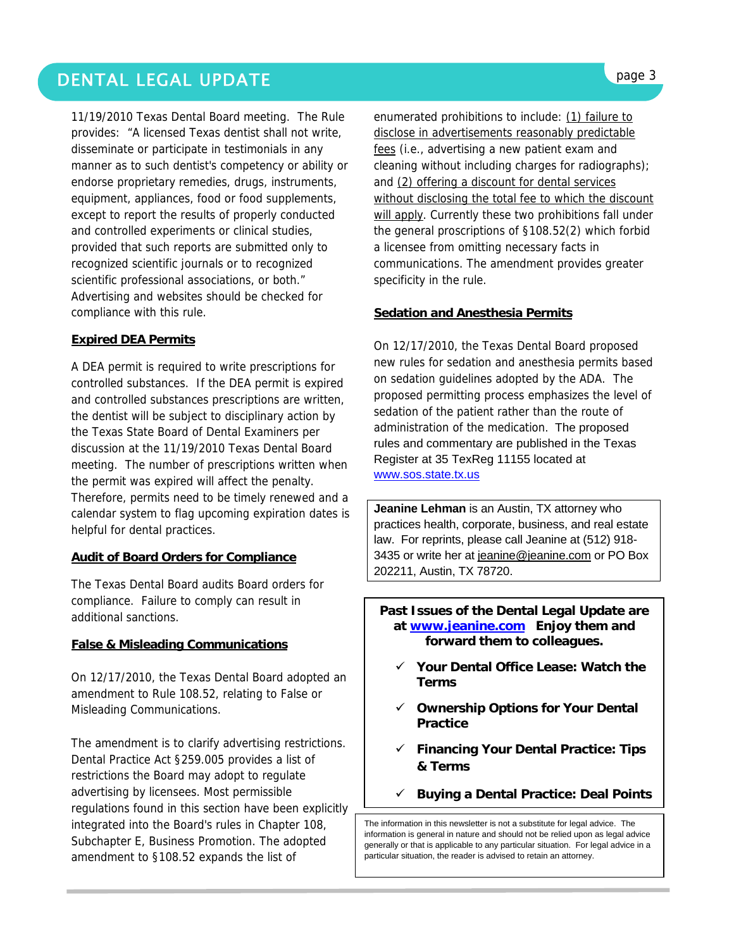## DENTAL LEGAL UPDATE **page 3**

11/19/2010 Texas Dental Board meeting. The Rule provides: "A licensed Texas dentist shall not write, disseminate or participate in testimonials in any manner as to such dentist's competency or ability or endorse proprietary remedies, drugs, instruments, equipment, appliances, food or food supplements, except to report the results of properly conducted and controlled experiments or clinical studies, provided that such reports are submitted only to recognized scientific journals or to recognized scientific professional associations, or both." Advertising and websites should be checked for compliance with this rule.

#### **Expired DEA Permits**

A DEA permit is required to write prescriptions for controlled substances. If the DEA permit is expired and controlled substances prescriptions are written, the dentist will be subject to disciplinary action by the Texas State Board of Dental Examiners per discussion at the 11/19/2010 Texas Dental Board meeting. The number of prescriptions written when the permit was expired will affect the penalty. Therefore, permits need to be timely renewed and a calendar system to flag upcoming expiration dates is helpful for dental practices.

#### **Audit of Board Orders for Compliance**

The Texas Dental Board audits Board orders for compliance. Failure to comply can result in additional sanctions.

#### **False & Misleading Communications**

On 12/17/2010, the Texas Dental Board adopted an amendment to Rule 108.52, relating to False or Misleading Communications.

The amendment is to clarify advertising restrictions. Dental Practice Act §259.005 provides a list of restrictions the Board may adopt to regulate advertising by licensees. Most permissible regulations found in this section have been explicitly integrated into the Board's rules in Chapter 108, Subchapter E, Business Promotion. The adopted amendment to §108.52 expands the list of

enumerated prohibitions to include: (1) failure to disclose in advertisements reasonably predictable fees (i.e., advertising a new patient exam and cleaning without including charges for radiographs); and (2) offering a discount for dental services without disclosing the total fee to which the discount will apply. Currently these two prohibitions fall under the general proscriptions of §108.52(2) which forbid a licensee from omitting necessary facts in communications. The amendment provides greater specificity in the rule.

#### **Sedation and Anesthesia Permits**

On 12/17/2010, the Texas Dental Board proposed new rules for sedation and anesthesia permits based on sedation guidelines adopted by the ADA. The proposed permitting process emphasizes the level of sedation of the patient rather than the route of administration of the medication. The proposed rules and commentary are published in the Texas Register at 35 TexReg 11155 located at www.sos.state.tx.us

**Jeanine Lehman** is an Austin, TX attorney who practices health, corporate, business, and real estate law. For reprints, please call Jeanine at (512) 918- 3435 or write her at jeanine@jeanine.com or PO Box 202211, Austin, TX 78720.

#### **Past Issues of the Dental Legal Update are at www.jeanine.com Enjoy them and forward them to colleagues.**

- 9 **Your Dental Office Lease: Watch the Terms**
- 9 **Ownership Options for Your Dental Practice**
- 9 **Financing Your Dental Practice: Tips & Terms**
- 9 **Buying a Dental Practice: Deal Points**

The information in this newsletter is not a substitute for legal advice. The information is general in nature and should not be relied upon as legal advice generally or that is applicable to any particular situation. For legal advice in a particular situation, the reader is advised to retain an attorney.